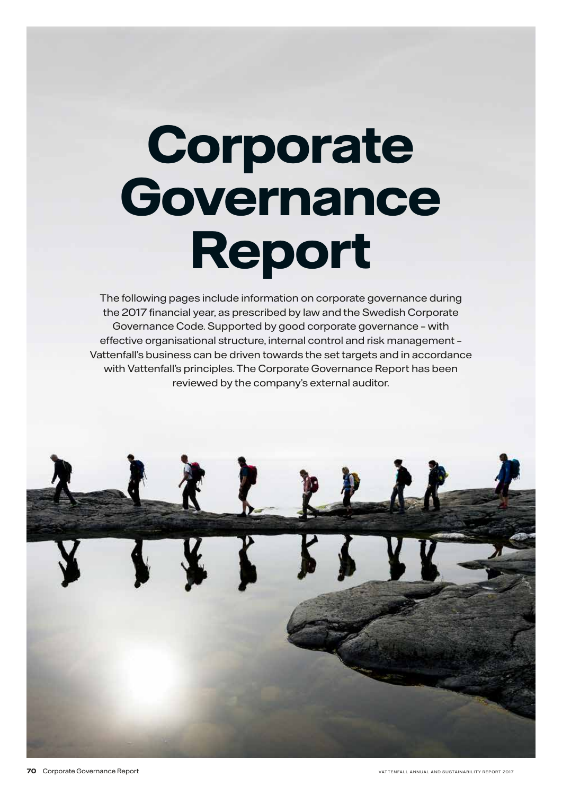# **Corporate Governance Report**

The following pages include information on corporate governance during the 2017 financial year, as prescribed by law and the Swedish Corporate Governance Code. Supported by good corporate governance – with effective organisational structure, internal control and risk management – Vattenfall's business can be driven towards the set targets and in accordance with Vattenfall's principles. The Corporate Governance Report has been reviewed by the company's external auditor.

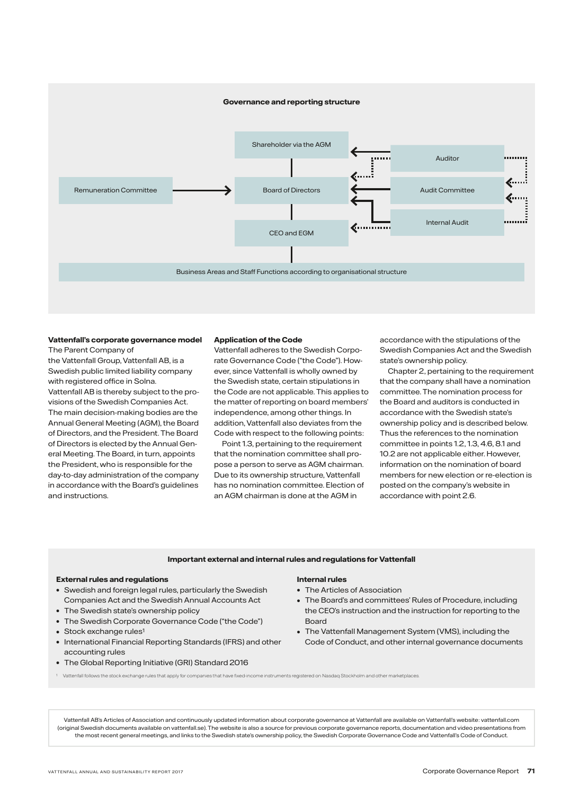

### **Vattenfall's corporate governance model**

The Parent Company of the Vattenfall Group, Vattenfall AB, is a Swedish public limited liability company with registered office in Solna. Vattenfall AB is thereby subject to the provisions of the Swedish Companies Act. The main decision-making bodies are the Annual General Meeting (AGM), the Board of Directors, and the President. The Board of Directors is elected by the Annual General Meeting. The Board, in turn, appoints the President, who is responsible for the day-to-day administration of the company in accordance with the Board's guidelines and instructions.

### **Application of the Code**

Vattenfall adheres to the Swedish Corporate Governance Code ("the Code"). However, since Vattenfall is wholly owned by the Swedish state, certain stipulations in the Code are not applicable. This applies to the matter of reporting on board members' independence, among other things. In addition, Vattenfall also deviates from the Code with respect to the following points:

Point 1.3, pertaining to the requirement that the nomination committee shall propose a person to serve as AGM chairman. Due to its ownership structure, Vattenfall has no nomination committee. Election of an AGM chairman is done at the AGM in

accordance with the stipulations of the Swedish Companies Act and the Swedish state's ownership policy.

Chapter 2, pertaining to the requirement that the company shall have a nomination committee. The nomination process for the Board and auditors is conducted in accordance with the Swedish state's ownership policy and is described below. Thus the references to the nomination committee in points 1.2, 1.3, 4.6, 8.1 and 10.2 are not applicable either. However information on the nomination of board members for new election or re-election is posted on the company's website in accordance with point 2.6.

### **Important external and internal rules and regulations for Vattenfall**

### **External rules and regulations**

- Swedish and foreign legal rules, particularly the Swedish Companies Act and the Swedish Annual Accounts Act
- The Swedish state's ownership policy
- The Swedish Corporate Governance Code ("the Code")
- Stock exchange rules<sup>1</sup>
- International Financial Reporting Standards (IFRS) and other accounting rules
- The Global Reporting Initiative (GRI) Standard 2016

### **Internal rules**

- The Articles of Association
- The Board's and committees' Rules of Procedure, including the CEO's instruction and the instruction for reporting to the Board
- The Vattenfall Management System (VMS), including the Code of Conduct, and other internal governance documents
- <sup>1</sup> Vattenfall follows the stock exchange rules that apply for companies that have fixed-income instruments registered on Nasdaq Stockholm and other marketplaces.

Vattenfall AB's Articles of Association and continuously updated information about corporate governance at Vattenfall are available on Vattenfall's website: vattenfall.com (original Swedish documents available on vattenfall.se). The website is also a source for previous corporate governance reports, documentation and video presentations from the most recent general meetings, and links to the Swedish state's ownership policy, the Swedish Corporate Governance Code and Vattenfall's Code of Conduct.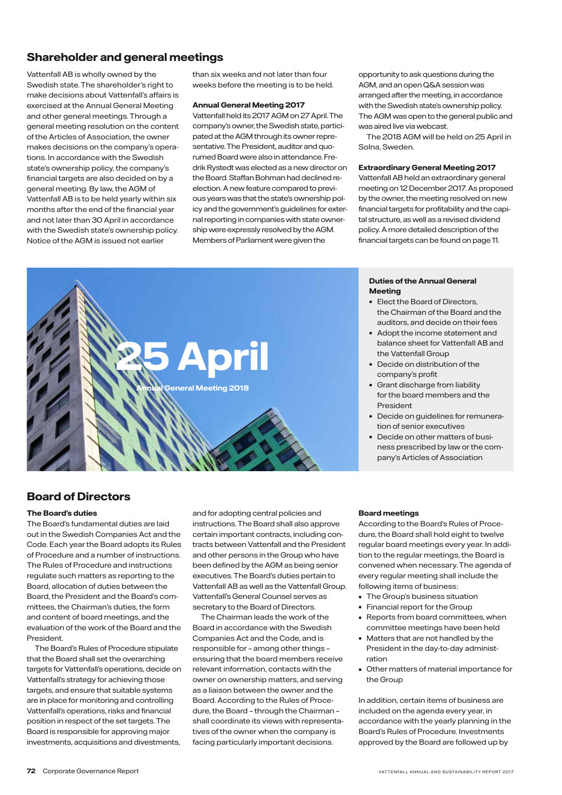# **Shareholder and general meetings**

Vattenfall AB is wholly owned by the Swedish state. The shareholder's right to make decisions about Vattenfall's affairs is exercised at the Annual General Meeting and other general meetings. Through a general meeting resolution on the content of the Articles of Association, the owner makes decisions on the company's operations. In accordance with the Swedish state's ownership policy, the company's financial targets are also decided on by a general meeting. By law, the AGM of Vattenfall AB is to be held yearly within six months after the end of the financial year and not later than 30 April in accordance with the Swedish state's ownership policy. Notice of the AGM is issued not earlier

than six weeks and not later than four weeks before the meeting is to be held.

### **Annual General Meeting 2017**

Vattenfall held its 2017 AGM on 27 April. The company's owner, the Swedish state, participated at the AGM through its owner representative. The President, auditor and quorumed Board were also in attendance. Fredrik Rystedt was elected as a new director on the Board. Staffan Bohman had declined reelection. A new feature compared to previous years was that the state's ownership policy and the government's guidelines for external reporting in companies with state ownership were expressly resolved by the AGM. Members of Parliament were given the

opportunity to ask questions during the AGM, and an open Q&A session was arranged after the meeting, in accordance with the Swedish state's ownership policy. The AGM was open to the general public and was aired live via webcast.

The 2018 AGM will be held on 25 April in Solna, Sweden.

### **Extraordinary General Meeting 2017**

Vattenfall AB held an extraordinary general meeting on 12 December 2017. As proposed by the owner, the meeting resolved on new financial targets for profitability and the capital structure, as well as a revised dividend policy. A more detailed description of the financial targets can be found on page 11.

# **25 April Annual General Meeting 2018**

### **Duties of the Annual General Meeting**

- Elect the Board of Directors, the Chairman of the Board and the auditors, and decide on their fees
- Adopt the income statement and balance sheet for Vattenfall AB and the Vattenfall Group
- Decide on distribution of the company's profit
- Grant discharge from liability for the board members and the President
- Decide on guidelines for remuneration of senior executives
- Decide on other matters of business prescribed by law or the company's Articles of Association

### **Board of Directors**

### **The Board's duties**

The Board's fundamental duties are laid out in the Swedish Companies Act and the Code. Each year the Board adopts its Rules of Procedure and a number of instructions. The Rules of Procedure and instructions regulate such matters as reporting to the Board, allocation of duties between the Board, the President and the Board's committees, the Chairman's duties, the form and content of board meetings, and the evaluation of the work of the Board and the President.

The Board's Rules of Procedure stipulate that the Board shall set the overarching targets for Vattenfall's operations, decide on Vattenfall's strategy for achieving those targets, and ensure that suitable systems are in place for monitoring and controlling Vattenfall's operations, risks and financial position in respect of the set targets. The Board is responsible for approving major investments, acquisitions and divestments,

and for adopting central policies and instructions. The Board shall also approve certain important contracts, including contracts between Vattenfall and the President and other persons in the Group who have been defined by the AGM as being senior executives. The Board's duties pertain to Vattenfall AB as well as the Vattenfall Group. Vattenfall's General Counsel serves as secretary to the Board of Directors.

The Chairman leads the work of the Board in accordance with the Swedish Companies Act and the Code, and is responsible for – among other things – ensuring that the board members receive relevant information, contacts with the owner on ownership matters, and serving as a liaison between the owner and the Board. According to the Rules of Procedure, the Board – through the Chairman – shall coordinate its views with representatives of the owner when the company is facing particularly important decisions.

### **Board meetings**

According to the Board's Rules of Procedure, the Board shall hold eight to twelve regular board meetings every year. In addition to the regular meetings, the Board is convened when necessary. The agenda of every regular meeting shall include the following items of business:

- The Group's business situation
- Financial report for the Group
- Reports from board committees, when committee meetings have been held
- Matters that are not handled by the President in the day-to-day administration
- Other matters of material importance for the Group

In addition, certain items of business are included on the agenda every year, in accordance with the yearly planning in the Board's Rules of Procedure. Investments approved by the Board are followed up by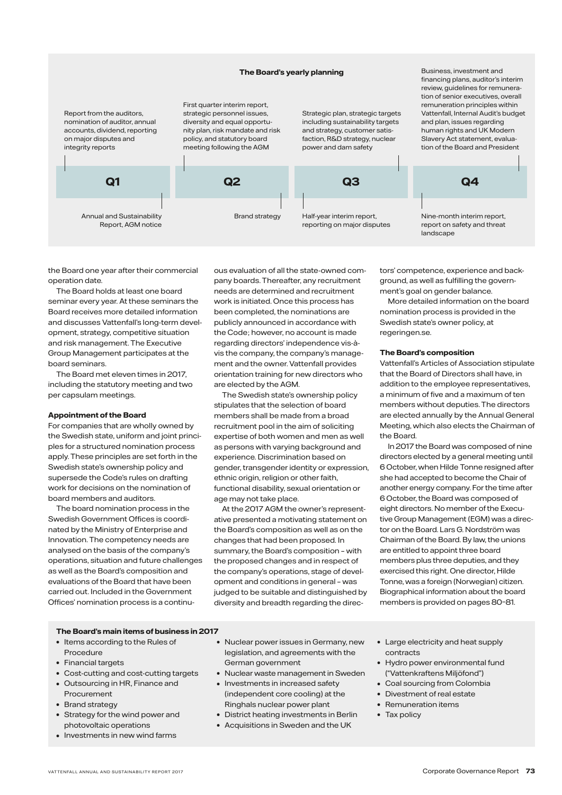### **The Board's yearly planning**

Report from the auditors, nomination of auditor, annual accounts, dividend, reporting on major disputes and integrity reports

Annual and Sustainability

First quarter interim report, strategic personnel issues, diversity and equal opportunity plan, risk mandate and risk policy, and statutory board meeting following the AGM

Strategic plan, strategic targets including sustainability targets and strategy, customer satisfaction, R&D strategy, nuclear power and dam safety



Business, investment and financing plans, auditor's interim review, guidelines for remuneration of senior executives, overall remuneration principles within Vattenfall, Internal Audit's budget and plan, issues regarding human rights and UK Modern Slavery Act statement, evaluation of the Board and President



the Board one year after their commercial operation date.

Report, AGM notice

The Board holds at least one board seminar every year. At these seminars the Board receives more detailed information and discusses Vattenfall's long-term development, strategy, competitive situation and risk management. The Executive Group Management participates at the board seminars.

The Board met eleven times in 2017, including the statutory meeting and two per capsulam meetings.

### **Appointment of the Board**

For companies that are wholly owned by the Swedish state, uniform and joint principles for a structured nomination process apply. These principles are set forth in the Swedish state's ownership policy and supersede the Code's rules on drafting work for decisions on the nomination of board members and auditors.

The board nomination process in the Swedish Government Offices is coordinated by the Ministry of Enterprise and Innovation. The competency needs are analysed on the basis of the company's operations, situation and future challenges as well as the Board's composition and evaluations of the Board that have been carried out. Included in the Government Offices' nomination process is a continuous evaluation of all the state-owned company boards. Thereafter, any recruitment needs are determined and recruitment work is initiated. Once this process has been completed, the nominations are publicly announced in accordance with the Code; however, no account is made regarding directors' independence vis-àvis the company, the company's management and the owner. Vattenfall provides orientation training for new directors who are elected by the AGM.

The Swedish state's ownership policy stipulates that the selection of board members shall be made from a broad recruitment pool in the aim of soliciting expertise of both women and men as well as persons with varying background and experience. Discrimination based on gender, transgender identity or expression, ethnic origin, religion or other faith, functional disability, sexual orientation or age may not take place.

At the 2017 AGM the owner's representative presented a motivating statement on the Board's composition as well as on the changes that had been proposed. In summary, the Board's composition – with the proposed changes and in respect of the company's operations, stage of development and conditions in general – was judged to be suitable and distinguished by diversity and breadth regarding the directors' competence, experience and background, as well as fulfilling the government's goal on gender balance.

More detailed information on the board nomination process is provided in the Swedish state's owner policy, at regeringen.se.

### **The Board's composition**

Vattenfall's Articles of Association stipulate that the Board of Directors shall have, in addition to the employee representatives, a minimum of five and a maximum of ten members without deputies. The directors are elected annually by the Annual General Meeting, which also elects the Chairman of the Board.

In 2017 the Board was composed of nine directors elected by a general meeting until 6 October, when Hilde Tonne resigned after she had accepted to become the Chair of another energy company. For the time after 6 October, the Board was composed of eight directors. No member of the Executive Group Management (EGM) was a director on the Board. Lars G. Nordström was Chairman of the Board. By law, the unions are entitled to appoint three board members plus three deputies, and they exercised this right. One director, Hilde Tonne, was a foreign (Norwegian) citizen. Biographical information about the board members is provided on pages 80–81.

### **The Board's main items of business in 2017**

- Items according to the Rules of Procedure
- Financial targets
- Cost-cutting and cost-cutting targets
- Outsourcing in HR, Finance and Procurement
- Brand strategy
- Strategy for the wind power and photovoltaic operations
- Investments in new wind farms
- Nuclear power issues in Germany, new legislation, and agreements with the German government
- Nuclear waste management in Sweden
- Investments in increased safety (independent core cooling) at the Ringhals nuclear power plant
- District heating investments in Berlin
- Acquisitions in Sweden and the UK
- Large electricity and heat supply contracts
- Hydro power environmental fund ("Vattenkraftens Miljöfond")
- Coal sourcing from Colombia
- Divestment of real estate
- Remuneration items
- Tax policy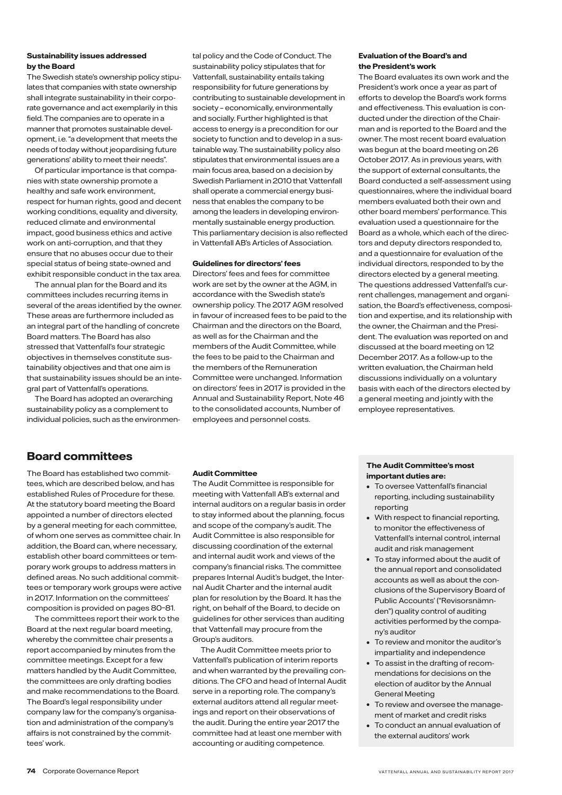### **Sustainability issues addressed by the Board**

The Swedish state's ownership policy stipulates that companies with state ownership shall integrate sustainability in their corporate governance and act exemplarily in this field. The companies are to operate in a manner that promotes sustainable development, i.e. "a development that meets the needs of today without jeopardising future generations' ability to meet their needs".

Of particular importance is that companies with state ownership promote a healthy and safe work environment, respect for human rights, good and decent working conditions, equality and diversity, reduced climate and environmental impact, good business ethics and active work on anti-corruption, and that they ensure that no abuses occur due to their special status of being state-owned and exhibit responsible conduct in the tax area.

The annual plan for the Board and its committees includes recurring items in several of the areas identified by the owner. These areas are furthermore included as an integral part of the handling of concrete Board matters. The Board has also stressed that Vattenfall's four strategic objectives in themselves constitute sustainability objectives and that one aim is that sustainability issues should be an integral part of Vattenfall's operations.

The Board has adopted an overarching sustainability policy as a complement to individual policies, such as the environmen-

tal policy and the Code of Conduct. The sustainability policy stipulates that for Vattenfall, sustainability entails taking responsibility for future generations by contributing to sustainable development in society – economically, environmentally and socially. Further highlighted is that access to energy is a precondition for our society to function and to develop in a sustainable way. The sustainability policy also stipulates that environmental issues are a main focus area, based on a decision by Swedish Parliament in 2010 that Vattenfall shall operate a commercial energy business that enables the company to be among the leaders in developing environmentally sustainable energy production. This parliamentary decision is also reflected in Vattenfall AB's Articles of Association.

### **Guidelines for directors' fees**

Directors' fees and fees for committee work are set by the owner at the AGM, in accordance with the Swedish state's ownership policy. The 2017 AGM resolved in favour of increased fees to be paid to the Chairman and the directors on the Board, as well as for the Chairman and the members of the Audit Committee, while the fees to be paid to the Chairman and the members of the Remuneration Committee were unchanged. Information on directors' fees in 2017 is provided in the Annual and Sustainability Report, Note 46 to the consolidated accounts, Number of employees and personnel costs.

### **Evaluation of the Board's and the President's work**

The Board evaluates its own work and the President's work once a year as part of efforts to develop the Board's work forms and effectiveness. This evaluation is conducted under the direction of the Chairman and is reported to the Board and the owner. The most recent board evaluation was begun at the board meeting on 26 October 2017. As in previous years, with the support of external consultants, the Board conducted a self-assessment using questionnaires, where the individual board members evaluated both their own and other board members' performance. This evaluation used a questionnaire for the Board as a whole, which each of the directors and deputy directors responded to, and a questionnaire for evaluation of the individual directors, responded to by the directors elected by a general meeting. The questions addressed Vattenfall's current challenges, management and organisation, the Board's effectiveness, composition and expertise, and its relationship with the owner, the Chairman and the President. The evaluation was reported on and discussed at the board meeting on 12 December 2017. As a follow-up to the written evaluation, the Chairman held discussions individually on a voluntary basis with each of the directors elected by a general meeting and jointly with the employee representatives.

### **Board committees**

The Board has established two committees, which are described below, and has established Rules of Procedure for these. At the statutory board meeting the Board appointed a number of directors elected by a general meeting for each committee, of whom one serves as committee chair. In addition, the Board can, where necessary, establish other board committees or temporary work groups to address matters in defined areas. No such additional committees or temporary work groups were active in 2017. Information on the committees' composition is provided on pages 80–81.

The committees report their work to the Board at the next regular board meeting, whereby the committee chair presents a report accompanied by minutes from the committee meetings. Except for a few matters handled by the Audit Committee, the committees are only drafting bodies and make recommendations to the Board. The Board's legal responsibility under company law for the company's organisation and administration of the company's affairs is not constrained by the committees' work.

### **Audit Committee**

The Audit Committee is responsible for meeting with Vattenfall AB's external and internal auditors on a regular basis in order to stay informed about the planning, focus and scope of the company's audit. The Audit Committee is also responsible for discussing coordination of the external and internal audit work and views of the company's financial risks. The committee prepares Internal Audit's budget, the Internal Audit Charter and the internal audit plan for resolution by the Board. It has the right, on behalf of the Board, to decide on guidelines for other services than auditing that Vattenfall may procure from the Group's auditors.

The Audit Committee meets prior to Vattenfall's publication of interim reports and when warranted by the prevailing conditions. The CFO and head of Internal Audit serve in a reporting role. The company's external auditors attend all regular meetings and report on their observations of the audit. During the entire year 2017 the committee had at least one member with accounting or auditing competence.

### **The Audit Committee's most important duties are:**

- To oversee Vattenfall's financial reporting, including sustainability reporting
- With respect to financial reporting, to monitor the effectiveness of Vattenfall's internal control, internal audit and risk management
- To stay informed about the audit of the annual report and consolidated accounts as well as about the conclusions of the Supervisory Board of Public Accounts' ("Revisorsnämnden") quality control of auditing activities performed by the company's auditor
- To review and monitor the auditor's impartiality and independence
- To assist in the drafting of recommendations for decisions on the election of auditor by the Annual General Meeting
- To review and oversee the management of market and credit risks
- To conduct an annual evaluation of the external auditors' work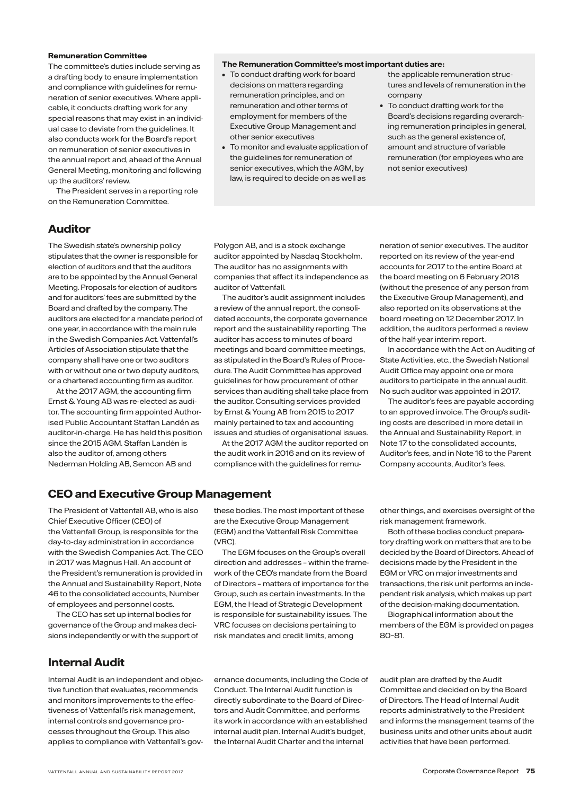### **Remuneration Committee**

The committee's duties include serving as a drafting body to ensure implementation and compliance with guidelines for remuneration of senior executives. Where applicable, it conducts drafting work for any special reasons that may exist in an individual case to deviate from the guidelines. It also conducts work for the Board's report on remuneration of senior executives in the annual report and, ahead of the Annual General Meeting, monitoring and following up the auditors' review.

The President serves in a reporting role on the Remuneration Committee.

### **Auditor**

The Swedish state's ownership policy stipulates that the owner is responsible for election of auditors and that the auditors are to be appointed by the Annual General Meeting. Proposals for election of auditors and for auditors' fees are submitted by the Board and drafted by the company. The auditors are elected for a mandate period of one year, in accordance with the main rule in the Swedish Companies Act. Vattenfall's Articles of Association stipulate that the company shall have one or two auditors with or without one or two deputy auditors, or a chartered accounting firm as auditor.

At the 2017 AGM, the accounting firm Ernst & Young AB was re-elected as auditor. The accounting firm appointed Authorised Public Accountant Staffan Landén as auditor-in-charge. He has held this position since the 2015 AGM. Staffan Landén is also the auditor of, among others Nederman Holding AB, Semcon AB and

Polygon AB, and is a stock exchange auditor appointed by Nasdaq Stockholm. The auditor has no assignments with companies that affect its independence as

• To conduct drafting work for board decisions on matters regarding remuneration principles, and on remuneration and other terms of employment for members of the Executive Group Management and

• To monitor and evaluate application of the guidelines for remuneration of senior executives, which the AGM, by law, is required to decide on as well as

other senior executives

**The Remuneration Committee's most important duties are:**

auditor of Vattenfall. The auditor's audit assignment includes a review of the annual report, the consolidated accounts, the corporate governance report and the sustainability reporting. The auditor has access to minutes of board meetings and board committee meetings, as stipulated in the Board's Rules of Procedure. The Audit Committee has approved guidelines for how procurement of other services than auditing shall take place from the auditor. Consulting services provided by Ernst & Young AB from 2015 to 2017 mainly pertained to tax and accounting issues and studies of organisational issues.

At the 2017 AGM the auditor reported on the audit work in 2016 and on its review of compliance with the guidelines for remuneration of senior executives. The auditor reported on its review of the year-end accounts for 2017 to the entire Board at the board meeting on 6 February 2018 (without the presence of any person from the Executive Group Management), and also reported on its observations at the board meeting on 12 December 2017. In addition, the auditors performed a review

the applicable remuneration structures and levels of remuneration in the

• To conduct drafting work for the Board's decisions regarding overarching remuneration principles in general, such as the general existence of, amount and structure of variable remuneration (for employees who are

not senior executives)

company

of the half-year interim report. In accordance with the Act on Auditing of State Activities, etc., the Swedish National Audit Office may appoint one or more auditors to participate in the annual audit. No such auditor was appointed in 2017.

The auditor's fees are payable according to an approved invoice. The Group's auditing costs are described in more detail in the Annual and Sustainability Report, in Note 17 to the consolidated accounts, Auditor's fees, and in Note 16 to the Parent Company accounts, Auditor's fees.

### **CEO and Executive Group Management**

The President of Vattenfall AB, who is also Chief Executive Officer (CEO) of the Vattenfall Group, is responsible for the day-to-day administration in accordance with the Swedish Companies Act. The CEO in 2017 was Magnus Hall. An account of the President's remuneration is provided in the Annual and Sustainability Report, Note 46 to the consolidated accounts, Number of employees and personnel costs.

The CEO has set up internal bodies for governance of the Group and makes decisions independently or with the support of

**Internal Audit**

Internal Audit is an independent and objective function that evaluates, recommends and monitors improvements to the effectiveness of Vattenfall's risk management, internal controls and governance processes throughout the Group. This also applies to compliance with Vattenfall's govthese bodies. The most important of these are the Executive Group Management (EGM) and the Vattenfall Risk Committee (VRC).

The EGM focuses on the Group's overall direction and addresses – within the framework of the CEO's mandate from the Board of Directors – matters of importance for the Group, such as certain investments. In the EGM, the Head of Strategic Development is responsible for sustainability issues. The VRC focuses on decisions pertaining to risk mandates and credit limits, among

other things, and exercises oversight of the risk management framework.

Both of these bodies conduct preparatory drafting work on matters that are to be decided by the Board of Directors. Ahead of decisions made by the President in the EGM or VRC on major investments and transactions, the risk unit performs an independent risk analysis, which makes up part of the decision-making documentation.

Biographical information about the members of the EGM is provided on pages 80–81.

ernance documents, including the Code of Conduct. The Internal Audit function is directly subordinate to the Board of Directors and Audit Committee, and performs its work in accordance with an established internal audit plan. Internal Audit's budget, the Internal Audit Charter and the internal

audit plan are drafted by the Audit Committee and decided on by the Board of Directors. The Head of Internal Audit reports administratively to the President and informs the management teams of the business units and other units about audit activities that have been performed.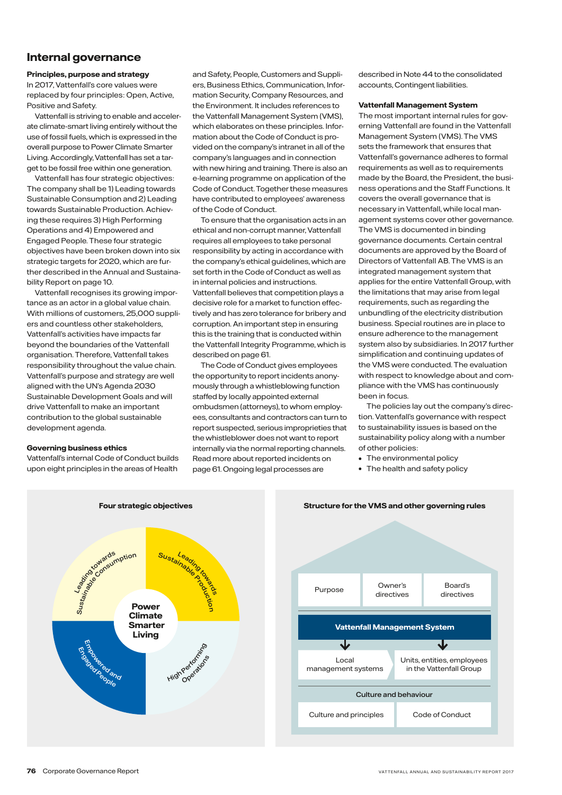### **Internal governance**

### **Principles, purpose and strategy**

In 2017, Vattenfall's core values were replaced by four principles: Open, Active, Positive and Safety.

Vattenfall is striving to enable and accelerate climate-smart living entirely without the use of fossil fuels, which is expressed in the overall purpose to Power Climate Smarter Living. Accordingly, Vattenfall has set a target to be fossil free within one generation.

Vattenfall has four strategic objectives: The company shall be 1) Leading towards Sustainable Consumption and 2) Leading towards Sustainable Production. Achieving these requires 3) High Performing Operations and 4) Empowered and Engaged People. These four strategic objectives have been broken down into six strategic targets for 2020, which are further described in the Annual and Sustainability Report on page 10.

Vattenfall recognises its growing importance as an actor in a global value chain. With millions of customers, 25,000 suppliers and countless other stakeholders, Vattenfall's activities have impacts far beyond the boundaries of the Vattenfall organisation. Therefore, Vattenfall takes responsibility throughout the value chain. Vattenfall's purpose and strategy are well aligned with the UN's Agenda 2030 Sustainable Development Goals and will drive Vattenfall to make an important contribution to the global sustainable development agenda.

### **Governing business ethics**

Vattenfall's internal Code of Conduct builds upon eight principles in the areas of Health

and Safety, People, Customers and Suppliers, Business Ethics, Communication, Information Security, Company Resources, and the Environment. It includes references to the Vattenfall Management System (VMS), which elaborates on these principles. Information about the Code of Conduct is provided on the company's intranet in all of the company's languages and in connection with new hiring and training. There is also an e-learning programme on application of the Code of Conduct. Together these measures have contributed to employees' awareness of the Code of Conduct.

To ensure that the organisation acts in an ethical and non-corrupt manner, Vattenfall requires all employees to take personal responsibility by acting in accordance with the company's ethical guidelines, which are set forth in the Code of Conduct as well as in internal policies and instructions. Vattenfall believes that competition plays a decisive role for a market to function effectively and has zero tolerance for bribery and corruption. An important step in ensuring this is the training that is conducted within the Vattenfall Integrity Programme, which is described on page 61.

The Code of Conduct gives employees the opportunity to report incidents anonymously through a whistleblowing function staffed by locally appointed external ombudsmen (attorneys), to whom employees, consultants and contractors can turn to report suspected, serious improprieties that the whistleblower does not want to report internally via the normal reporting channels. Read more about reported incidents on page 61. Ongoing legal processes are

described in Note 44 to the consolidated accounts, Contingent liabilities.

### **Vattenfall Management System**

The most important internal rules for governing Vattenfall are found in the Vattenfall Management System (VMS). The VMS sets the framework that ensures that Vattenfall's governance adheres to formal requirements as well as to requirements made by the Board, the President, the business operations and the Staff Functions. It covers the overall governance that is necessary in Vattenfall, while local management systems cover other governance. The VMS is documented in binding governance documents. Certain central documents are approved by the Board of Directors of Vattenfall AB. The VMS is an integrated management system that applies for the entire Vattenfall Group, with the limitations that may arise from legal requirements, such as regarding the unbundling of the electricity distribution business. Special routines are in place to ensure adherence to the management system also by subsidiaries. In 2017 further simplification and continuing updates of the VMS were conducted. The evaluation with respect to knowledge about and compliance with the VMS has continuously been in focus.

The policies lay out the company's direction. Vattenfall's governance with respect to sustainability issues is based on the sustainability policy along with a number of other policies:

- The environmental policy
- The health and safety policy



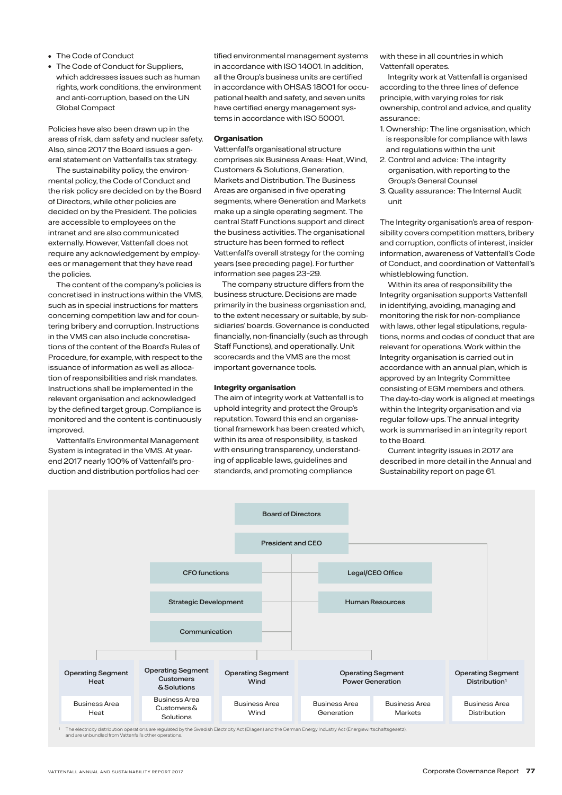- The Code of Conduct
- The Code of Conduct for Suppliers, which addresses issues such as human rights, work conditions, the environment and anti-corruption, based on the UN Global Compact

Policies have also been drawn up in the areas of risk, dam safety and nuclear safety. Also, since 2017 the Board issues a general statement on Vattenfall's tax strategy.

The sustainability policy, the environmental policy, the Code of Conduct and the risk policy are decided on by the Board of Directors, while other policies are decided on by the President. The policies are accessible to employees on the intranet and are also communicated externally. However, Vattenfall does not require any acknowledgement by employees or management that they have read the policies.

The content of the company's policies is concretised in instructions within the VMS, such as in special instructions for matters concerning competition law and for countering bribery and corruption. Instructions in the VMS can also include concretisations of the content of the Board's Rules of Procedure, for example, with respect to the issuance of information as well as allocation of responsibilities and risk mandates. Instructions shall be implemented in the relevant organisation and acknowledged by the defined target group. Compliance is monitored and the content is continuously improved.

Vattenfall's Environmental Management System is integrated in the VMS. At yearend 2017 nearly 100% of Vattenfall's production and distribution portfolios had certified environmental management systems in accordance with ISO 14001. In addition, all the Group's business units are certified in accordance with OHSAS 18001 for occupational health and safety, and seven units have certified energy management systems in accordance with ISO 50001.

### **Organisation**

Vattenfall's organisational structure comprises six Business Areas: Heat, Wind, Customers & Solutions, Generation, Markets and Distribution. The Business Areas are organised in five operating segments, where Generation and Markets make up a single operating segment. The central Staff Functions support and direct the business activities. The organisational structure has been formed to reflect Vattenfall's overall strategy for the coming years (see preceding page). For further information see pages 23–29.

The company structure differs from the business structure. Decisions are made primarily in the business organisation and, to the extent necessary or suitable, by subsidiaries' boards. Governance is conducted financially, non-financially (such as through Staff Functions), and operationally. Unit scorecards and the VMS are the most important governance tools.

### **Integrity organisation**

The aim of integrity work at Vattenfall is to uphold integrity and protect the Group's reputation. Toward this end an organisational framework has been created which, within its area of responsibility, is tasked with ensuring transparency, understanding of applicable laws, guidelines and standards, and promoting compliance

with these in all countries in which Vattenfall operates.

Integrity work at Vattenfall is organised according to the three lines of defence principle, with varying roles for risk ownership, control and advice, and quality assurance:

- 1. Ownership: The line organisation, which is responsible for compliance with laws and regulations within the unit
- 2. Control and advice: The integrity organisation, with reporting to the Group's General Counsel
- 3. Quality assurance: The Internal Audit unit

The Integrity organisation's area of responsibility covers competition matters, bribery and corruption, conflicts of interest, insider information, awareness of Vattenfall's Code of Conduct, and coordination of Vattenfall's whistleblowing function.

Within its area of responsibility the Integrity organisation supports Vattenfall in identifying, avoiding, managing and monitoring the risk for non-compliance with laws, other legal stipulations, regulations, norms and codes of conduct that are relevant for operations. Work within the Integrity organisation is carried out in accordance with an annual plan, which is approved by an Integrity Committee consisting of EGM members and others. The day-to-day work is aligned at meetings within the Integrity organisation and via regular follow-ups. The annual integrity work is summarised in an integrity report to the Board.

Current integrity issues in 2017 are described in more detail in the Annual and Sustainability report on page 61.



<sup>1</sup> The electricity distribution operations are regulated by the Swedish Electricity Act (Ellagen) and the German Energy Industry Act (Energiewirtschaftsgesetz), and are unbundled from Vattenfall's other operation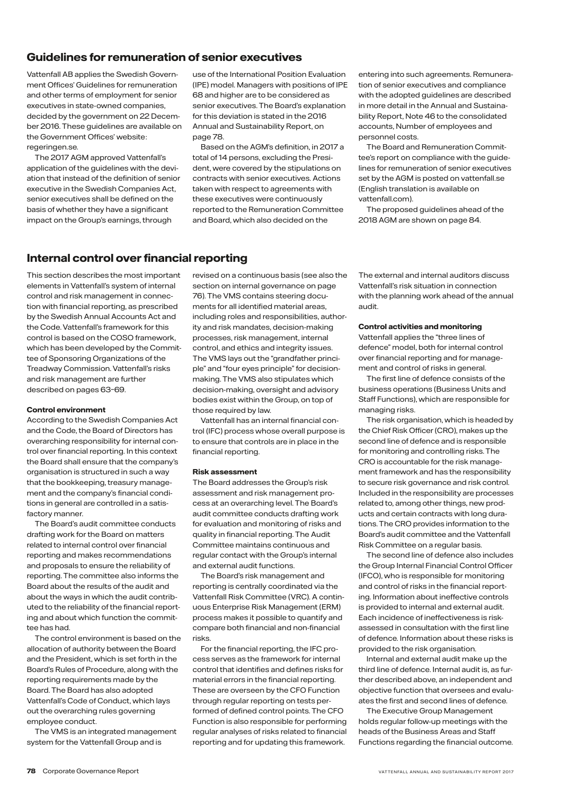### **Guidelines for remuneration of senior executives**

Vattenfall AB applies the Swedish Government Offices' Guidelines for remuneration and other terms of employment for senior executives in state-owned companies, decided by the government on 22 December 2016. These guidelines are available on the Government Offices' website: regeringen.se.

The 2017 AGM approved Vattenfall's application of the guidelines with the deviation that instead of the definition of senior executive in the Swedish Companies Act, senior executives shall be defined on the basis of whether they have a significant impact on the Group's earnings, through

use of the International Position Evaluation (IPE) model. Managers with positions of IPE 68 and higher are to be considered as senior executives. The Board's explanation for this deviation is stated in the 2016 Annual and Sustainability Report, on page 78.

Based on the AGM's definition, in 2017 a total of 14 persons, excluding the President, were covered by the stipulations on contracts with senior executives. Actions taken with respect to agreements with these executives were continuously reported to the Remuneration Committee and Board, which also decided on the

entering into such agreements. Remuneration of senior executives and compliance with the adopted guidelines are described in more detail in the Annual and Sustainability Report, Note 46 to the consolidated accounts, Number of employees and personnel costs.

The Board and Remuneration Committee's report on compliance with the guidelines for remuneration of senior executives set by the AGM is posted on vattenfall set (English translation is available on vattenfall.com).

The proposed guidelines ahead of the 2018 AGM are shown on page 84.

### **Internal control over financial reporting**

This section describes the most important elements in Vattenfall's system of internal control and risk management in connection with financial reporting, as prescribed by the Swedish Annual Accounts Act and the Code. Vattenfall's framework for this control is based on the COSO framework, which has been developed by the Committee of Sponsoring Organizations of the Treadway Commission. Vattenfall's risks and risk management are further described on pages 63–69.

### **Control environment**

According to the Swedish Companies Act and the Code, the Board of Directors has overarching responsibility for internal control over financial reporting. In this context the Board shall ensure that the company's organisation is structured in such a way that the bookkeeping, treasury management and the company's financial conditions in general are controlled in a satisfactory manner.

The Board's audit committee conducts drafting work for the Board on matters related to internal control over financial reporting and makes recommendations and proposals to ensure the reliability of reporting. The committee also informs the Board about the results of the audit and about the ways in which the audit contributed to the reliability of the financial reporting and about which function the committee has had.

The control environment is based on the allocation of authority between the Board and the President, which is set forth in the Board's Rules of Procedure, along with the reporting requirements made by the Board. The Board has also adopted Vattenfall's Code of Conduct, which lays out the overarching rules governing employee conduct.

The VMS is an integrated management system for the Vattenfall Group and is

revised on a continuous basis (see also the section on internal governance on page 76). The VMS contains steering documents for all identified material areas, including roles and responsibilities, authority and risk mandates, decision-making processes, risk management, internal control, and ethics and integrity issues. The VMS lays out the "grandfather principle" and "four eyes principle" for decisionmaking. The VMS also stipulates which decision-making, oversight and advisory bodies exist within the Group, on top of those required by law.

Vattenfall has an internal financial control (IFC) process whose overall purpose is to ensure that controls are in place in the financial reporting.

### **Risk assessment**

The Board addresses the Group's risk assessment and risk management process at an overarching level. The Board's audit committee conducts drafting work for evaluation and monitoring of risks and quality in financial reporting. The Audit Committee maintains continuous and regular contact with the Group's internal and external audit functions.

The Board's risk management and reporting is centrally coordinated via the Vattenfall Risk Committee (VRC). A continuous Enterprise Risk Management (ERM) process makes it possible to quantify and compare both financial and non-financial risks.

For the financial reporting, the IFC process serves as the framework for internal control that identifies and defines risks for material errors in the financial reporting. These are overseen by the CFO Function through regular reporting on tests performed of defined control points. The CFO Function is also responsible for performing regular analyses of risks related to financial reporting and for updating this framework.

The external and internal auditors discuss Vattenfall's risk situation in connection with the planning work ahead of the annual audit.

### **Control activities and monitoring**

Vattenfall applies the "three lines of defence" model, both for internal control over financial reporting and for management and control of risks in general.

The first line of defence consists of the business operations (Business Units and Staff Functions), which are responsible for managing risks.

The risk organisation, which is headed by the Chief Risk Officer (CRO), makes up the second line of defence and is responsible for monitoring and controlling risks. The CRO is accountable for the risk management framework and has the responsibility to secure risk governance and risk control. Included in the responsibility are processes related to, among other things, new products and certain contracts with long durations. The CRO provides information to the Board's audit committee and the Vattenfall Risk Committee on a regular basis.

The second line of defence also includes the Group Internal Financial Control Officer (IFCO), who is responsible for monitoring and control of risks in the financial reporting. Information about ineffective controls is provided to internal and external audit. Each incidence of ineffectiveness is riskassessed in consultation with the first line of defence. Information about these risks is provided to the risk organisation.

Internal and external audit make up the third line of defence. Internal audit is, as further described above, an independent and objective function that oversees and evaluates the first and second lines of defence.

The Executive Group Management holds regular follow-up meetings with the heads of the Business Areas and Staff Functions regarding the financial outcome.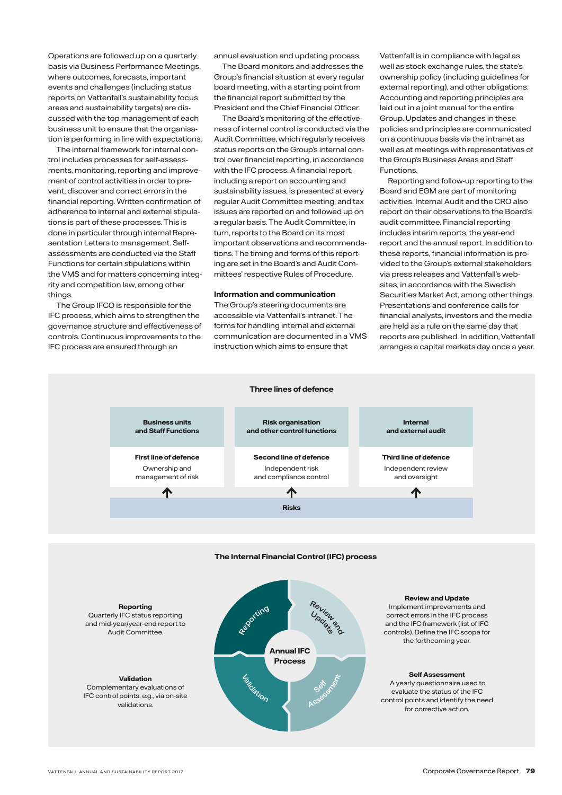Operations are followed up on a quarterly basis via Business Performance Meetings, where outcomes, forecasts, important events and challenges (including status reports on Vattenfall's sustainability focus areas and sustainability targets) are discussed with the top management of each business unit to ensure that the organisation is performing in line with expectations.

The internal framework for internal control includes processes for self-assessments, monitoring, reporting and improvement of control activities in order to prevent, discover and correct errors in the financial reporting. Written confirmation of adherence to internal and external stipulations is part of these processes. This is done in particular through internal Representation Letters to management. Selfassessments are conducted via the Staff Functions for certain stipulations within the VMS and for matters concerning integrity and competition law, among other things.

The Group IFCO is responsible for the IFC process, which aims to strengthen the governance structure and effectiveness of controls. Continuous improvements to the IFC process are ensured through an

annual evaluation and updating process.

The Board monitors and addresses the Group's financial situation at every regular board meeting, with a starting point from the financial report submitted by the President and the Chief Financial Officer.

The Board's monitoring of the effectiveness of internal control is conducted via the Audit Committee, which regularly receives status reports on the Group's internal control over financial reporting, in accordance with the IFC process. A financial report, including a report on accounting and sustainability issues, is presented at every regular Audit Committee meeting, and tax issues are reported on and followed up on a regular basis. The Audit Committee, in turn, reports to the Board on its most important observations and recommendations. The timing and forms of this reporting are set in the Board's and Audit Committees' respective Rules of Procedure.

### **Information and communication**

The Group's steering documents are accessible via Vattenfall's intranet. The forms for handling internal and external communication are documented in a VMS instruction which aims to ensure that

Vattenfall is in compliance with legal as well as stock exchange rules, the state's ownership policy (including guidelines for external reporting), and other obligations. Accounting and reporting principles are laid out in a joint manual for the entire Group. Updates and changes in these policies and principles are communicated on a continuous basis via the intranet as well as at meetings with representatives of the Group's Business Areas and Staff Functions.

Reporting and follow-up reporting to the Board and EGM are part of monitoring activities. Internal Audit and the CRO also report on their observations to the Board's audit committee. Financial reporting includes interim reports, the year-end report and the annual report. In addition to these reports, financial information is provided to the Group's external stakeholders via press releases and Vattenfall's websites, in accordance with the Swedish Securities Market Act, among other things. Presentations and conference calls for financial analysts, investors and the media are held as a rule on the same day that reports are published. In addition, Vattenfall arranges a capital markets day once a year.



Quarterly IFC status reporting and mid-year/year-end report to Audit Committee.

**Validation** Complementary evaluations of IFC control points, e.g., via on-site validations.



and the IFC framework (list of IFC controls). Define the IFC scope for the forthcoming year.

### **Self Assessment**

 A yearly questionnaire used to evaluate the status of the IFC control points and identify the need for corrective action.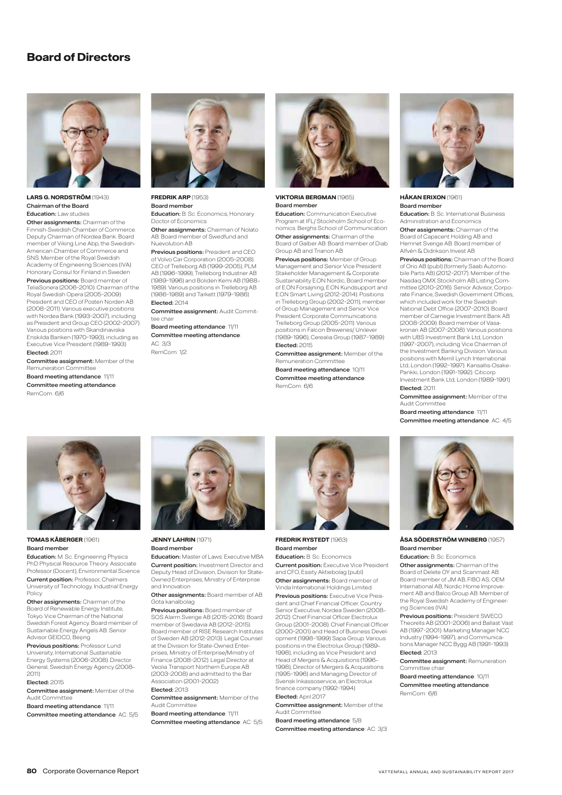### **Board of Directors**



**LARS G. NORDSTRÖM** (1943) Chairman of the Board Education: Law studies

**Other assignments: Chairman of the** Finnish-Swedish Chamber of Commerce. Deputy Chairman of Nordea Bank. Board member of Viking Line Abp, the Swedish-American Chamber of Commerce and SNS. Member of the Royal Swedish Academy of Engineering Sciences (IVA). Honorary Consul for Finland in Sweden Previous positions: Board member of TeliaSonera (2006–2010). Chairman of the Royal Swedish Opera (2005–2009). sident and CEO of Posten Norden AB (2008–2011). Various executive positions with Nordea Bank (1993–2007), including as President and Group CEO (2002–2007). Various positions with Skandinaviska Enskilda Banken (1970–1993), including as

Executive Vice President (1989–1993) Elected: 2011

Committee assignment: Member of the Remuneration Committee Board meeting attendance: 11/11

Committee meeting attendance: RemCom: 6/6



### **FREDRIK ARP** (1953)

Board member Education: B. Sc. Economics, Honorary Doctor of Economics

**Other assignments:** Chairman of Nolato AB. Board member of Swedfund and Nuevolution AB

Previous positions: President and CEO of Volvo Car Corporation (2005–2008). CEO of Trelleborg AB (1999–2005), PLM AB (1996–1999), Trelleborg Industrier AB (1989–1996) and Boliden Kemi AB (1988– 1989). Various positions in Trelleborg AB (1986–1989) and Tarkett (1979–1986) Elected: 2014

**Committee assignment: Audit Commit**tee chair

Board meeting attendance: 11/11 Committee meeting attendance:

AC: 3/3 RemCom: 1/2



**VIKTORIA BERGMAN** (1965) Board member

Education: Communication Executive Program at IFL/ Stockholm School of Economics. Berghs School of Communication **Other assignments:** Chairman of the Board of Galber AB. Board member of Diab Group AB and Trianon AB

Previous positions: Member of Group Management and Senior Vice President Stakeholder Management & Corporate Sustainability E.ON Nordic, Board member of E.ON Försäjning, E.ON Kundsupport and E.ON Smart Living (2012–2014). Positions in Trelleborg Group (2002–2011), member of Group Management and Senior Vice President Corporate Communications Trelleborg Group (2005–2011). Various positions in Falcon Breweries/ Unileve (1989–1996), Cerealia Group (1987–1989) Elected: 2015

Committee assignment: Member of the Remuneration Committee Board meeting attendance: 10/11 Committee meeting attendance: RemCom: 6/6



**HÅKAN ERIXON** (1961) Board member

Education: B. Sc. International Business Administration and Economics

**Other assignments: Chairman of the** Board of Capacent Holding AB and Hemnet Sverige AB. Board member of Alfvén & Didrikson Invest AB

Previous positions: Chairman of the Board of Orio AB (publ) (formerly Saab Automo-bile Parts AB) (2012–2017). Member of the Nasdaq OMX Stockholm AB Listing Committee (2010–2016). Senior Advisor, Corporate Finance, Swedish Government Offices, which included work for the Swedish National Debt Office (2007–2010). Board member of Carnegie Investment Bank AB (2008–2009). Board member of Vasakronan AB (2007–2008). Various positions with UBS Investment Bank Ltd, London (1997–2007), including Vice Chairman of the Investment Banking Division. Various positions with Merrill Lynch International Ltd, London (1992–1997). Kansallis-Osake-Pankki, London (1991–1992). Citicorp Investment Bank Ltd, London (1989–1991) Elected: 2011

Committee assignment: Member of the Audit Committee

Board meeting attendance: 11/11 Committee meeting attendance: AC: 4/5



### **TOMAS KÅBERGER** (1961) Board member

Education: M. Sc. Engineering Physics PhD Physical Resource Theory. Associate Professor (Docent), Environmental Science

Current position: Professor, Chalmers University of Technology, Industrial Energy Policy

Other assignments: Chairman of the Board of Renewable Energy Institute, Tokyo. Vice Chairman of the National Swedish Forest Agency. Board member of Sustainable Energy Angels AB. Senior Advisor GEIDCO, Beijing

Previous positions: Professor Lund University, International Sustainable Energy Systems (2006–2008). Director General, Swedish Energy Agency (2008– 2011)

### Elected: 2015

Committee assignment: Member of the Audit Committee

Board meeting attendance: 11/11 Committee meeting attendance: AC: 5/5

**JENNY LAHRIN** (1971) Board member

**Education:** Master of Laws. Executive MBA **Current position:** Investment Director and Deputy Head of Division, Division for State-Owned Enterprises, Ministry of Enterprise and Innovation

Other assignments: Board member of AB Göta kanalbolag

**Previous positions:** Board member of SOS Alarm Sverige AB (2015–2016). Board member of Swedavia AB (2012–2015). Board member of RISE Research Institutes of Sweden AB (2012–2013). Legal Counsel at the Division for State-Owned Enterprises, Ministry of Enterprise/Ministry of Finance (2008–2012). Legal Director at Veolia Transport Northern Europe AB (2003–2008) and admitted to the Bar Association (2001–2002)

### Elected: 2013

Committee assignment: Member of the Audit Committee

Board meeting attendance: 11/11 Committee meeting attendance: AC: 5/5



# **FREDRIK RYSTEDT** (1963)

Board member Education: B. Sc. Economics **Current position:** Executive Vice President and CFO, Essity Aktiebolag (publ) **Other assignments: Board member of** Vinda International Holdings Limited **Previous positions:** Executive Vice President and Chief Financial Officer, Country Senior Executive, Nordea Sweden (2008– 2012). Chief Financial Officer Electrolux Group (2001–2008). Chief Financial Officer (2000–2001) and Head of Business Development (1998–1999) Sapa Group. Various positions in the Electrolux Group (1989– 1998), including as Vice President and Head of Mergers & Acquisitions (1996– 1998), Director of Mergers & Acquisitions (1995–1996) and Managing Director of Svensk Inkassoservice, an Electrolux finance company (1992–1994) Elected: April 2017

### Committee assignment: Member of the Audit Committee

Board meeting attendance: 5/8 Committee meeting attendance: AC: 3/3



### **ÅSA SÖDERSTRÖM WINBERG** (1957) Board member

Education: B. Sc. Economics

**Other assignments:** Chairman of the Board of Delete OY and Scanmast AB. Board member of JM AB, FIBO AS, OEM International AB, Nordic Home Improvement AB and Balco Group AB. Member of the Royal Swedish Academy of Engineering Sciences (IVA)

Previous positions: President SWECO Theorells AB (2001–2006) and Ballast Väst AB (1997–2001). Marketing Manager NCC Industry (1994–1997), and Communications Manager NCC Bygg AB (1991–1993) Elected: 2013

Committee assignment: Remuneration Committee chai Board meeting attendance: 10/11

Committee meeting attendance: RemCom: 6/6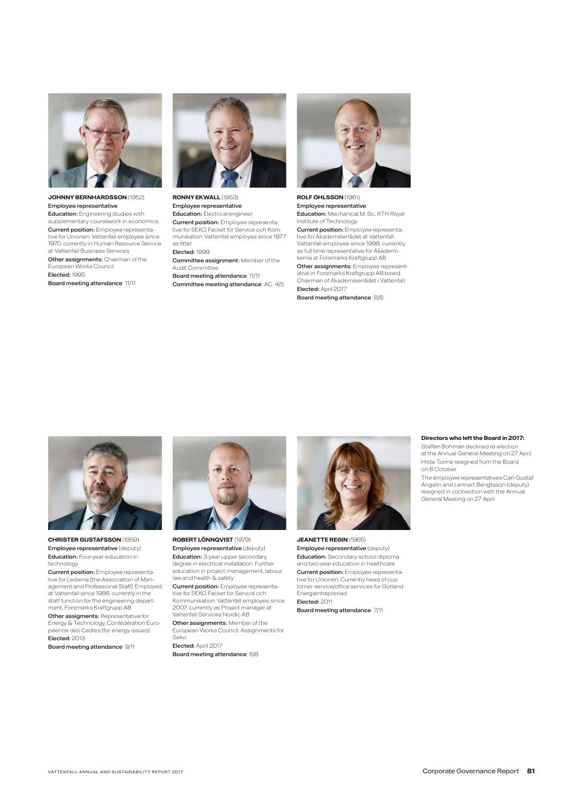

### **JOHNNY BERNHARDSSON** (1952) Employee representative

**Education:** Engineering studies with supplementary coursework in economics

**Current position:** Employee representa-<br>tive for Unionen. Vattenfall employee since 1970, currently in Human Resource Service at Vattenfall Business Services

Other assignments: Chairman of the European Works Council Elected: 1995

Board meeting attendance: 11/11



**RONNY EKWALL** (1953) Employee representative Education: Electrical engineer Current position: Employee representative for SEKO Facket för Service och Kommunikation. Vattenfall employee since 1977 as fitter

Elected: 1999

Committee assignment: Member of the Audit Committee Board meeting attendance: 11/11

Committee meeting attendance: AC: 4/5



**ROLF OHLSSON** (1961) Employee representative Education: Mechanical M. Sc., KTH Royal Institute of Technology

**Current position:** Employee representa-<br>tive for Akademikerrådet at Vattenfall. Vattenfall employee since 1998, currently as full time representative for Akademikerna at Forsmarks Kraftgrupp AB

**Other assignments:** Employee representative in Forsmarks Kraftgrupp AB board. Chairman of Akademikerrådet i Vattenfall Elected: April 2017

Board meeting attendance: 8/8



**CHRISTER GUSTAFSSON** (1959) Employee representative (deputy) **Education:** Four-year education in technology

**Current position:** Employee representative for Ledarna (the Association of Man-agement and Professional Staff). Employed at Vattenfall since 1986, currently in the staff function for the engineering depart-ment, Forsmarks Kraftgrupp AB Other assigments: Representative for

Energy & Technology, Confédération Européenne des Cadres (for energy issues) Elected: 2013

Board meeting attendance: 9/11



**ROBERT LÖNNQVIST** (1979) Employee representative (deputy) Education: 3-year upper secondary degree in electrical installation. Further education in project management, labour law and health & safety

Current position: Employee representative for SEKO Facket för Service och Kommunikation. Vattenfall employee since 2007, currently as Project manager at Vattenfall Services Nordic AB

Other assignments: Member of the European Works Council. Assignments for Seko

Elected: April 2017 Board meeting attendance: 6/8



**JEANETTE REGIN** (1965) Employee representative (deputy) Education: Secondary school diploma and two-year education in healthcare **Current position:** Employee representative for Unionen. Currently head of cus-tomer service/office services for Gotland Energientreprenad Elected: 2011

Board meeting attendance: 7/11

### **Directors who left the Board in 2017:**

Staffan Bohman declined re-election at the Annual General Meeting on 27 April. Hilde Tonne resigned from the Board on 6 October.

The employee representatives Carl-Gustaf Angelin and Lennart Bengtsson (deputy) resigned in connection with the Annual General Meeting on 27 April.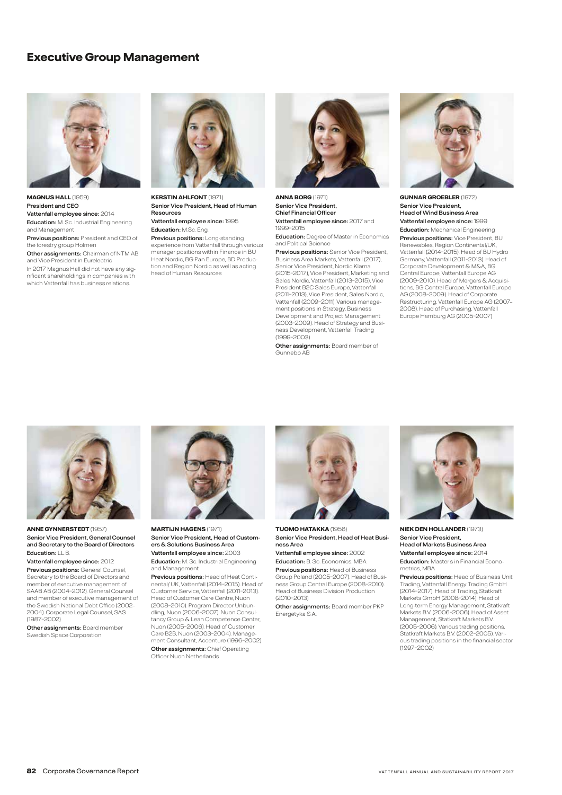### **Executive Group Management**



**MAGNUS HALL** (1959) President and CEO Vattenfall employee since: 2014 Education: M. Sc. Industrial Engineering and Management Previous positions: President and CEO of the forestry group Holmen Other assignments: Chairman of NTM AB and Vice President in Eurelectric In 2017 Magnus Hall did not have any significant shareholdings in companies with which Vattenfall has business relations.



**KERSTIN AHLFONT** (1971) Senior Vice President, Head of Human Resources Vattenfall employee since: 1995

Education: M.Sc. Eng. Previous positions: Long-standing

experience from Vattenfall through various manager positions within Finance in BU Heat Nordic, BG Pan Europe, BD Production and Region Nordic as well as acting head of Human Resources



**ANNA BORG** (1971) Senior Vice President, Chief Financial Officer Vattenfall employee since: 2017 and 1999–2015

**Education:** Degree of Master in Economics and Political Science

**Previous positions:** Senior Vice President, Business Area Markets, Vattenfall (2017), Senior Vice President, Nordic Klarna (2015–2017), Vice President, Marketing and Sales Nordic, Vattenfall (2013–2015), Vice President B2C Sales Europe, Vattenfall (2011–2013), Vice President, Sales Nordic, Vattenfall (2009–2011). Various management positions in Strategy, Business Development and Project Management (2003–2009). Head of Strategy and Business Development, Vattenfall Trading (1999–2003)

Other assignments: Board member of Gunnebo AB



**GUNNAR GROEBLER** (1972) Senior Vice President, Head of Wind Business Area Vattenfall employee since: 1999

Education: Mechanical Engineering Previous positions: Vice President, BU Renewables, Region Continental/UK, Vattenfall (2014–2015). Head of BU Hydro Germany, Vattenfall (2011–2013). Head of Corporate Development & M&A, BG Central Europe, Vattenfall Europe AG (2009–2010). Head of Mergers & Acquisitions, BG Central Europe, Vattenfall Europe AG (2008–2009). Head of Corporate Restructuring, Vattenfall Europe AG (2007– 2008). Head of Purchasing, Vattenfall Europe Hamburg AG (2005–2007)



**ANNE GYNNERSTEDT** (1957) Senior Vice President, General Counsel and Secretary to the Board of Directors Education: LL.B.

Vattenfall employee since: 2012 Previous positions: General Counsel, Secretary to the Board of Directors and member of executive management of SAAB AB (2004–2012). General Counsel and member of executive management of the Swedish National Debt Office (2002– 2004). Corporate Legal Counsel, SAS (1987–2002)

**Other assignments: Board member** Swedish Space Corporation



**MARTI, IN HAGENS (1971)** Senior Vice President, Head of Customers & Solutions Business Area

Vattenfall employee since: 2003 Education: M. Sc. Industrial Engineering

and Management Previous positions: Head of Heat Conti-

nental/ UK, Vattenfall (2014–2015). Head of Customer Service, Vattenfall (2011–2013). Head of Customer Care Centre, Nuon (2008–2010). Program Director Unbun-dling, Nuon (2006–2007). Nuon Consultancy Group & Lean Competence Center, Nuon (2005–2006). Head of Customer Care B2B, Nuon (2003–2004). Management Consultant, Accenture (1996–2002) Other assignments: Chief Operating Officer Nuon Netherlands



Senior Vice President, Head of Heat Business Area

Vattenfall employee since: 2002 Education: B. Sc. Economics, MBA

Previous positions: Head of Business Group Poland (2005–2007). Head of Business Group Central Europe (2008–2010). Head of Business Division Production (2010–2013)

**Other assignments:** Board member PKP Energetyka S.A.



**NIEK DEN HOLLANDER** (1973) Senior Vice President,

Head of Markets Business Area Vattenfall employee since: 2014

Education: Master's in Financial Econometrics, MBA

Previous positions: Head of Business Unit Trading, Vattenfall Energy Trading GmbH (2014–2017). Head of Trading, Statkraft Markets GmbH (2008–2014). Head of Long-term Energy Management, Statkraft Markets B.V. (2006–2006). Head of Asset Management, Statkraft Markets B.V. (2005–2006). Various trading positions, Statkraft Markets B.V. (2002–2005). Various trading positions in the financial sector (1997–2002)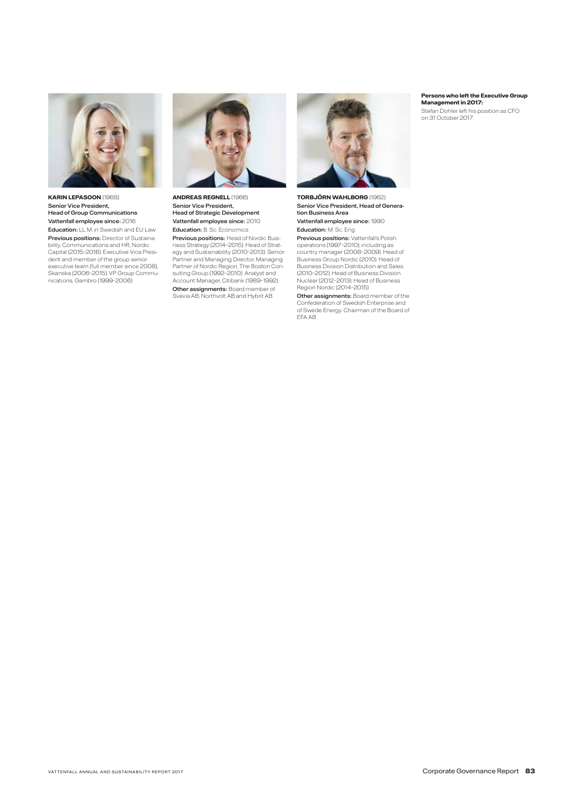

**KARIN LEPASOON** (1968) Senior Vice President, Head of Group Communications Vattenfall employee since: 2016 Education: LL.M. in Swedish and EU Law Previous positions: Director of Sustainability, Communications and HR, Nordic Capital (2015–2016). Executive Vice President and member of the group senior executive team (full member since 2008), Skanska (2006–2015). VP Group Communications, Gambro (1999–2006)



**ANDREAS REGNELL** (1966) Senior Vice President, Head of Strategic Development Vattenfall employee since: 2010 Education: B. Sc. Economics

Previous positions: Head of Nordic Business Strategy (2014–2015). Head of Strat-egy and Sustainability (2010–2013). Senior Partner and Managing Director, Managing Partner of Nordic Region, The Boston Con-sulting Group (1992–2010). Analyst and Account Manager, Citibank (1989–1992). Other assignments: Board member of Svevia AB, Northvolt AB and Hybrit AB



**TORBJÖRN WAHLBORG** (1962) Senior Vice President, Head of Generation Business Area Vattenfall employee since: 1990

Education: M. Sc. Eng.

Previous positions: Vattenfall's Polish operations (1997–2010), including as country manager (2008–2009). Head of Business Group Nordic (2010). Head of Business Division Distribution and Sales (2010–2012). Head of Business Division Nuclear (2012–2013). Head of Business Region Nordic (2014–2015)

Other assignments: Board member of the Confederation of Swedish Enterprise and of Swede Energy. Chairman of the Board of EFA AB

### **Persons who left the Executive Group Management in 2017:**

Stefan Dohler left his position as CFO on 31 October 2017.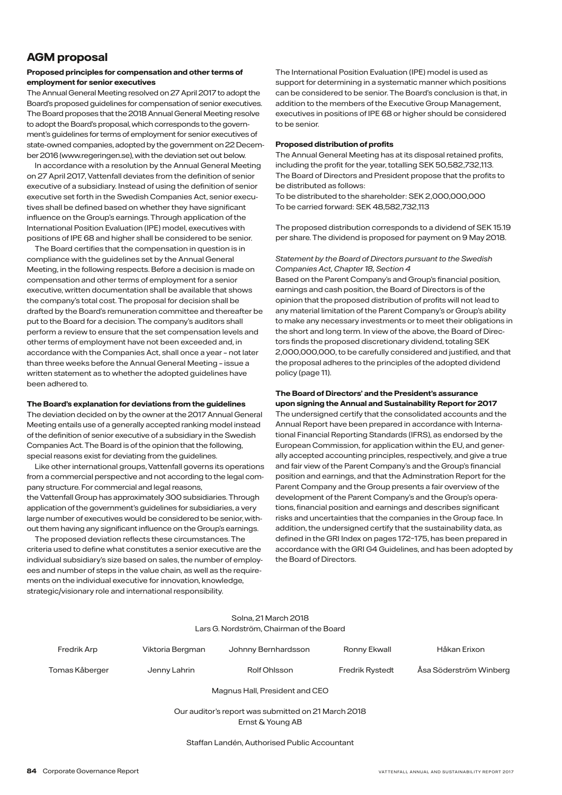### **AGM proposal**

### **Proposed principles for compensation and other terms of employment for senior executives**

The Annual General Meeting resolved on 27 April 2017 to adopt the Board's proposed guidelines for compensation of senior executives. The Board proposes that the 2018 Annual General Meeting resolve to adopt the Board's proposal, which corresponds to the government's guidelines for terms of employment for senior executives of state-owned companies, adopted by the government on 22 December 2016 (www.regeringen.se), with the deviation set out below.

In accordance with a resolution by the Annual General Meeting on 27 April 2017, Vattenfall deviates from the definition of senior executive of a subsidiary. Instead of using the definition of senior executive set forth in the Swedish Companies Act, senior executives shall be defined based on whether they have significant influence on the Group's earnings. Through application of the International Position Evaluation (IPE) model, executives with positions of IPE 68 and higher shall be considered to be senior.

The Board certifies that the compensation in question is in compliance with the guidelines set by the Annual General Meeting, in the following respects. Before a decision is made on compensation and other terms of employment for a senior executive, written documentation shall be available that shows the company's total cost. The proposal for decision shall be drafted by the Board's remuneration committee and thereafter be put to the Board for a decision. The company's auditors shall perform a review to ensure that the set compensation levels and other terms of employment have not been exceeded and, in accordance with the Companies Act, shall once a year – not later than three weeks before the Annual General Meeting – issue a written statement as to whether the adopted guidelines have been adhered to.

### **The Board's explanation for deviations from the guidelines**

The deviation decided on by the owner at the 2017 Annual General Meeting entails use of a generally accepted ranking model instead of the definition of senior executive of a subsidiary in the Swedish Companies Act. The Board is of the opinion that the following, special reasons exist for deviating from the guidelines.

Like other international groups, Vattenfall governs its operations from a commercial perspective and not according to the legal company structure. For commercial and legal reasons, the Vattenfall Group has approximately 300 subsidiaries. Through application of the government's guidelines for subsidiaries, a very large number of executives would be considered to be senior, without them having any significant influence on the Group's earnings.

The proposed deviation reflects these circumstances. The criteria used to define what constitutes a senior executive are the individual subsidiary's size based on sales, the number of employees and number of steps in the value chain, as well as the requirements on the individual executive for innovation, knowledge, strategic/visionary role and international responsibility.

The International Position Evaluation (IPE) model is used as support for determining in a systematic manner which positions can be considered to be senior. The Board's conclusion is that, in addition to the members of the Executive Group Management, executives in positions of IPE 68 or higher should be considered to be senior.

### **Proposed distribution of profits**

The Annual General Meeting has at its disposal retained profits, including the profit for the year, totalling SEK 50,582,732,113. The Board of Directors and President propose that the profits to be distributed as follows:

To be distributed to the shareholder: SEK 2,000,000,000 To be carried forward: SEK 48,582,732,113

The proposed distribution corresponds to a dividend of SEK 15.19 per share. The dividend is proposed for payment on 9 May 2018.

### *Statement by the Board of Directors pursuant to the Swedish Companies Act, Chapter 18, Section 4*

Based on the Parent Company's and Group's financial position, earnings and cash position, the Board of Directors is of the opinion that the proposed distribution of profits will not lead to any material limitation of the Parent Company's or Group's ability to make any necessary investments or to meet their obligations in the short and long term. In view of the above, the Board of Directors finds the proposed discretionary dividend, totaling SEK 2,000,000,000, to be carefully considered and justified, and that the proposal adheres to the principles of the adopted dividend policy (page 11).

### **The Board of Directors' and the President's assurance upon signing the Annual and Sustainability Report for 2017**

The undersigned certify that the consolidated accounts and the Annual Report have been prepared in accordance with International Financial Reporting Standards (IFRS), as endorsed by the European Commission, for application within the EU, and generally accepted accounting principles, respectively, and give a true and fair view of the Parent Company's and the Group's financial position and earnings, and that the Adminstration Report for the Parent Company and the Group presents a fair overview of the development of the Parent Company's and the Group's operations, financial position and earnings and describes significant risks and uncertainties that the companies in the Group face. In addition, the undersigned certify that the sustainability data, as defined in the GRI Index on pages 172–175, has been prepared in accordance with the GRI G4 Guidelines, and has been adopted by the Board of Directors.

### Solna, 21 March 2018 Lars G. Nordström, Chairman of the Board

| Fredrik Arp    | Viktoria Bergman | Johnny Bernhardsson | Ronny Ekwall           | Håkan Erixon           |
|----------------|------------------|---------------------|------------------------|------------------------|
| Tomas Kåberger | Jenny Lahrin     | Rolf Ohlsson        | <b>Fredrik Rystedt</b> | Åsa Söderström Winberg |

Magnus Hall, President and CEO

Our auditor's report was submitted on 21 March 2018 Ernst & Young AB

Staffan Landén, Authorised Public Accountant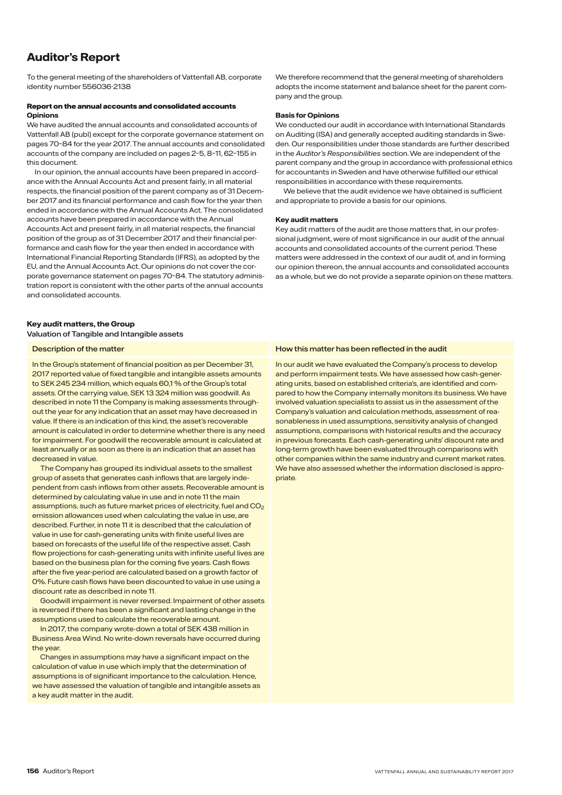# **Auditor's Report**

To the general meeting of the shareholders of Vattenfall AB, corporate identity number 556036-2138

### Report on the annual accounts and consolidated accounts **Opinions**

We have audited the annual accounts and consolidated accounts of Vattenfall AB (publ) except for the corporate governance statement on pages 70–84 for the year 2017. The annual accounts and consolidated accounts of the company are included on pages 2–5, 8–11, 62–155 in this document.

In our opinion, the annual accounts have been prepared in accordance with the Annual Accounts Act and present fairly, in all material respects, the financial position of the parent company as of 31 December 2017 and its financial performance and cash flow for the year then ended in accordance with the Annual Accounts Act. The consolidated accounts have been prepared in accordance with the Annual Accounts Act and present fairly, in all material respects, the financial position of the group as of 31 December 2017 and their financial performance and cash flow for the year then ended in accordance with International Financial Reporting Standards (IFRS), as adopted by the EU, and the Annual Accounts Act. Our opinions do not cover the corporate governance statement on pages 70–84. The statutory administration report is consistent with the other parts of the annual accounts and consolidated accounts.

### **Key audit matters, the Group**

### Valuation of Tangible and Intangible assets

In the Group's statement of financial position as per December 31, 2017 reported value of fixed tangible and intangible assets amounts to SEK 245 234 million, which equals 60,1 % of the Group's total assets. Of the carrying value, SEK 13 324 million was goodwill. As described in note 11 the Company is making assessments throughout the year for any indication that an asset may have decreased in value. If there is an indication of this kind, the asset's recoverable amount is calculated in order to determine whether there is any need for impairment. For goodwill the recoverable amount is calculated at least annually or as soon as there is an indication that an asset has decreased in value.

The Company has grouped its individual assets to the smallest group of assets that generates cash inflows that are largely independent from cash inflows from other assets. Recoverable amount is determined by calculating value in use and in note 11 the main assumptions, such as future market prices of electricity, fuel and CO<sub>2</sub> emission allowances used when calculating the value in use, are described. Further, in note 11 it is described that the calculation of value in use for cash-generating units with finite useful lives are based on forecasts of the useful life of the respective asset. Cash flow projections for cash-generating units with infinite useful lives are based on the business plan for the coming five years. Cash flows after the five year-period are calculated based on a growth factor of 0%. Future cash flows have been discounted to value in use using a discount rate as described in note 11.

Goodwill impairment is never reversed. Impairment of other assets is reversed if there has been a significant and lasting change in the assumptions used to calculate the recoverable amount.

In 2017, the company wrote-down a total of SEK 438 million in Business Area Wind. No write-down reversals have occurred during the year.

Changes in assumptions may have a significant impact on the calculation of value in use which imply that the determination of assumptions is of significant importance to the calculation. Hence, we have assessed the valuation of tangible and intangible assets as a key audit matter in the audit.

We therefore recommend that the general meeting of shareholders adopts the income statement and balance sheet for the parent company and the group.

### **Basis for Opinions**

We conducted our audit in accordance with International Standards on Auditing (ISA) and generally accepted auditing standards in Sweden. Our responsibilities under those standards are further described in the *Auditor's Responsibilities* section. We are independent of the parent company and the group in accordance with professional ethics for accountants in Sweden and have otherwise fulfilled our ethical responsibilities in accordance with these requirements.

We believe that the audit evidence we have obtained is sufficient and appropriate to provide a basis for our opinions.

### **Key audit matters**

Key audit matters of the audit are those matters that, in our professional judgment, were of most significance in our audit of the annual accounts and consolidated accounts of the current period. These matters were addressed in the context of our audit of, and in forming our opinion thereon, the annual accounts and consolidated accounts as a whole, but we do not provide a separate opinion on these matters.

### Description of the matter How this matter How this matter has been reflected in the audit

In our audit we have evaluated the Company's process to develop and perform impairment tests. We have assessed how cash-generating units, based on established criteria's, are identified and compared to how the Company internally monitors its business. We have involved valuation specialists to assist us in the assessment of the Company's valuation and calculation methods, assessment of reasonableness in used assumptions, sensitivity analysis of changed assumptions, comparisons with historical results and the accuracy in previous forecasts. Each cash-generating units' discount rate and long-term growth have been evaluated through comparisons with other companies within the same industry and current market rates. We have also assessed whether the information disclosed is appropriate.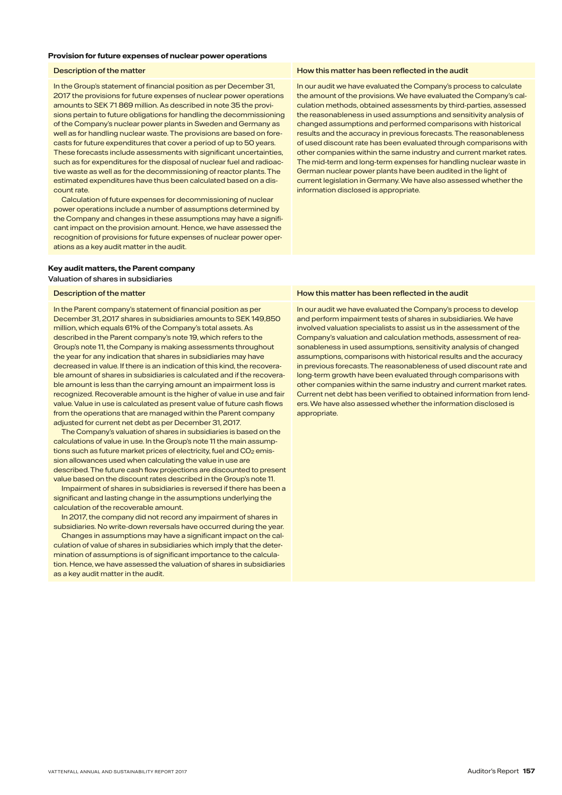### **Provision for future expenses of nuclear power operations**

In the Group's statement of financial position as per December 31, 2017 the provisions for future expenses of nuclear power operations amounts to SEK 71 869 million. As described in note 35 the provisions pertain to future obligations for handling the decommissioning of the Company's nuclear power plants in Sweden and Germany as well as for handling nuclear waste. The provisions are based on forecasts for future expenditures that cover a period of up to 50 years. These forecasts include assessments with significant uncertainties, such as for expenditures for the disposal of nuclear fuel and radioactive waste as well as for the decommissioning of reactor plants. The estimated expenditures have thus been calculated based on a discount rate.

Calculation of future expenses for decommissioning of nuclear power operations include a number of assumptions determined by the Company and changes in these assumptions may have a significant impact on the provision amount. Hence, we have assessed the recognition of provisions for future expenses of nuclear power operations as a key audit matter in the audit.

### **Key audit matters, the Parent company**

### Valuation of shares in subsidiaries

In the Parent company's statement of financial position as per December 31, 2017 shares in subsidiaries amounts to SEK 149,850 million, which equals 61% of the Company's total assets. As described in the Parent company's note 19, which refers to the Group's note 11, the Company is making assessments throughout the year for any indication that shares in subsidiaries may have decreased in value. If there is an indication of this kind, the recoverable amount of shares in subsidiaries is calculated and if the recoverable amount is less than the carrying amount an impairment loss is recognized. Recoverable amount is the higher of value in use and fair value. Value in use is calculated as present value of future cash flows from the operations that are managed within the Parent company adjusted for current net debt as per December 31, 2017.

The Company's valuation of shares in subsidiaries is based on the calculations of value in use. In the Group's note 11 the main assumptions such as future market prices of electricity, fuel and  $CO<sub>2</sub>$  emission allowances used when calculating the value in use are described. The future cash flow projections are discounted to present value based on the discount rates described in the Group's note 11.

Impairment of shares in subsidiaries is reversed if there has been a significant and lasting change in the assumptions underlying the calculation of the recoverable amount.

In 2017, the company did not record any impairment of shares in subsidiaries. No write-down reversals have occurred during the year.

Changes in assumptions may have a significant impact on the calculation of value of shares in subsidiaries which imply that the determination of assumptions is of significant importance to the calculation. Hence, we have assessed the valuation of shares in subsidiaries as a key audit matter in the audit.

### Description of the matter How this matter has been reflected in the audit

In our audit we have evaluated the Company's process to calculate the amount of the provisions. We have evaluated the Company's calculation methods, obtained assessments by third-parties, assessed the reasonableness in used assumptions and sensitivity analysis of changed assumptions and performed comparisons with historical results and the accuracy in previous forecasts. The reasonableness of used discount rate has been evaluated through comparisons with other companies within the same industry and current market rates. The mid-term and long-term expenses for handling nuclear waste in German nuclear power plants have been audited in the light of current legislation in Germany. We have also assessed whether the information disclosed is appropriate.

### Description of the matter **How this matter has been reflected in the audit How this matter has been reflected in the audit**

In our audit we have evaluated the Company's process to develop and perform impairment tests of shares in subsidiaries. We have involved valuation specialists to assist us in the assessment of the Company's valuation and calculation methods, assessment of reasonableness in used assumptions, sensitivity analysis of changed assumptions, comparisons with historical results and the accuracy in previous forecasts. The reasonableness of used discount rate and long-term growth have been evaluated through comparisons with other companies within the same industry and current market rates. Current net debt has been verified to obtained information from lenders. We have also assessed whether the information disclosed is appropriate.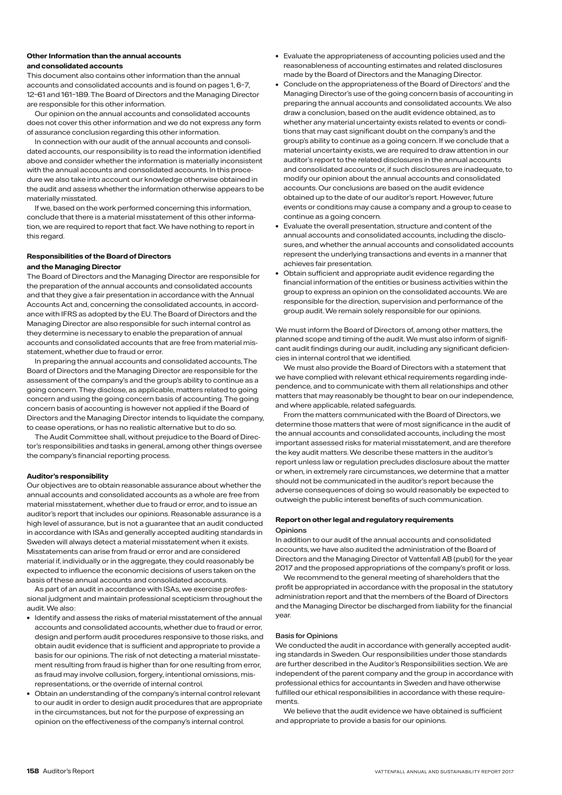### **Other Information than the annual accounts and consolidated accounts**

This document also contains other information than the annual accounts and consolidated accounts and is found on pages 1, 6–7, 12–61 and 161–189. The Board of Directors and the Managing Director are responsible for this other information.

Our opinion on the annual accounts and consolidated accounts does not cover this other information and we do not express any form of assurance conclusion regarding this other information.

In connection with our audit of the annual accounts and consolidated accounts, our responsibility is to read the information identified above and consider whether the information is materially inconsistent with the annual accounts and consolidated accounts. In this procedure we also take into account our knowledge otherwise obtained in the audit and assess whether the information otherwise appears to be materially misstated.

If we, based on the work performed concerning this information, conclude that there is a material misstatement of this other information, we are required to report that fact. We have nothing to report in this regard.

### **Responsibilities of the Board of Directors**

### **and the Managing Director**

The Board of Directors and the Managing Director are responsible for the preparation of the annual accounts and consolidated accounts and that they give a fair presentation in accordance with the Annual Accounts Act and, concerning the consolidated accounts, in accordance with IFRS as adopted by the EU. The Board of Directors and the Managing Director are also responsible for such internal control as they determine is necessary to enable the preparation of annual accounts and consolidated accounts that are free from material misstatement, whether due to fraud or error.

In preparing the annual accounts and consolidated accounts, The Board of Directors and the Managing Director are responsible for the assessment of the company's and the group's ability to continue as a going concern. They disclose, as applicable, matters related to going concern and using the going concern basis of accounting. The going concern basis of accounting is however not applied if the Board of Directors and the Managing Director intends to liquidate the company, to cease operations, or has no realistic alternative but to do so.

The Audit Committee shall, without prejudice to the Board of Director's responsibilities and tasks in general, among other things oversee the company's financial reporting process.

### **Auditor's responsibility**

Our objectives are to obtain reasonable assurance about whether the annual accounts and consolidated accounts as a whole are free from material misstatement, whether due to fraud or error, and to issue an auditor's report that includes our opinions. Reasonable assurance is a high level of assurance, but is not a guarantee that an audit conducted in accordance with ISAs and generally accepted auditing standards in Sweden will always detect a material misstatement when it exists. Misstatements can arise from fraud or error and are considered material if, individually or in the aggregate, they could reasonably be expected to influence the economic decisions of users taken on the basis of these annual accounts and consolidated accounts.

As part of an audit in accordance with ISAs, we exercise professional judgment and maintain professional scepticism throughout the audit. We also:

- Identify and assess the risks of material misstatement of the annual accounts and consolidated accounts, whether due to fraud or error, design and perform audit procedures responsive to those risks, and obtain audit evidence that is sufficient and appropriate to provide a basis for our opinions. The risk of not detecting a material misstatement resulting from fraud is higher than for one resulting from error, as fraud may involve collusion, forgery, intentional omissions, misrepresentations, or the override of internal control.
- Obtain an understanding of the company's internal control relevant to our audit in order to design audit procedures that are appropriate in the circumstances, but not for the purpose of expressing an opinion on the effectiveness of the company's internal control.
- Evaluate the appropriateness of accounting policies used and the reasonableness of accounting estimates and related disclosures made by the Board of Directors and the Managing Director.
- Conclude on the appropriateness of the Board of Directors' and the Managing Director's use of the going concern basis of accounting in preparing the annual accounts and consolidated accounts. We also draw a conclusion, based on the audit evidence obtained, as to whether any material uncertainty exists related to events or conditions that may cast significant doubt on the company's and the group's ability to continue as a going concern. If we conclude that a material uncertainty exists, we are required to draw attention in our auditor's report to the related disclosures in the annual accounts and consolidated accounts or, if such disclosures are inadequate, to modify our opinion about the annual accounts and consolidated accounts. Our conclusions are based on the audit evidence obtained up to the date of our auditor's report. However, future events or conditions may cause a company and a group to cease to continue as a going concern.
- Evaluate the overall presentation, structure and content of the annual accounts and consolidated accounts, including the disclosures, and whether the annual accounts and consolidated accounts represent the underlying transactions and events in a manner that achieves fair presentation.
- Obtain sufficient and appropriate audit evidence regarding the financial information of the entities or business activities within the group to express an opinion on the consolidated accounts. We are responsible for the direction, supervision and performance of the group audit. We remain solely responsible for our opinions.

We must inform the Board of Directors of, among other matters, the planned scope and timing of the audit. We must also inform of significant audit findings during our audit, including any significant deficiencies in internal control that we identified.

We must also provide the Board of Directors with a statement that we have complied with relevant ethical requirements regarding independence, and to communicate with them all relationships and other matters that may reasonably be thought to bear on our independence, and where applicable, related safeguards.

From the matters communicated with the Board of Directors, we determine those matters that were of most significance in the audit of the annual accounts and consolidated accounts, including the most important assessed risks for material misstatement, and are therefore the key audit matters. We describe these matters in the auditor's report unless law or regulation precludes disclosure about the matter or when, in extremely rare circumstances, we determine that a matter should not be communicated in the auditor's report because the adverse consequences of doing so would reasonably be expected to outweigh the public interest benefits of such communication.

### **Report on other legal and regulatory requirements**  Opinions

In addition to our audit of the annual accounts and consolidated accounts, we have also audited the administration of the Board of Directors and the Managing Director of Vattenfall AB (publ) for the year 2017 and the proposed appropriations of the company's profit or loss.

We recommend to the general meeting of shareholders that the profit be appropriated in accordance with the proposal in the statutory administration report and that the members of the Board of Directors and the Managing Director be discharged from liability for the financial year.

### Basis for Opinions

We conducted the audit in accordance with generally accepted auditing standards in Sweden. Our responsibilities under those standards are further described in the Auditor's Responsibilities section. We are independent of the parent company and the group in accordance with professional ethics for accountants in Sweden and have otherwise fulfilled our ethical responsibilities in accordance with these requirements.

We believe that the audit evidence we have obtained is sufficient and appropriate to provide a basis for our opinions.